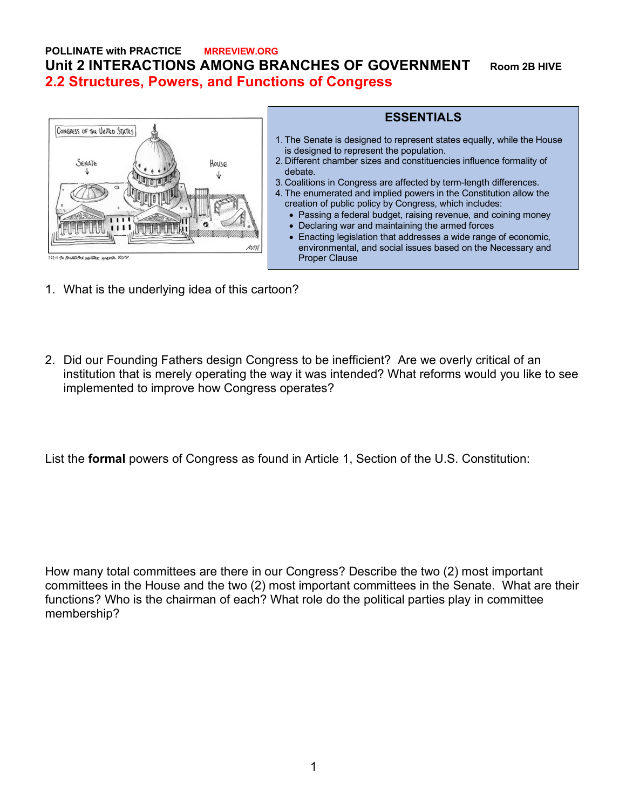## **POLLINATE with PRACTICE MRREVIEW.ORG Unit 2 INTERACTIONS AMONG BRANCHES OF GOVERNMENT Room 2B HIVE 2.2 Structures, Powers, and Functions of Congress**



## **ESSENTIALS** 1. The Senate is designed to represent states equally, while the House is designed to represent the population. 2. Different chamber sizes and constituencies influence formality of debate. 3. Coalitions in Congress are affected by term-length differences. 4. The enumerated and implied powers in the Constitution allow the creation of public policy by Congress, which includes: • Passing a federal budget, raising revenue, and coining money • Declaring war and maintaining the armed forces • Enacting legislation that addresses a wide range of economic,

environmental, and social issues based on the Necessary and

- 1. What is the underlying idea of this cartoon?
- 2. Did our Founding Fathers design Congress to be inefficient? Are we overly critical of an institution that is merely operating the way it was intended? What reforms would you like to see implemented to improve how Congress operates?

Proper Clause

List the **formal** powers of Congress as found in Article 1, Section of the U.S. Constitution:

How many total committees are there in our Congress? Describe the two (2) most important committees in the House and the two (2) most important committees in the Senate. What are their functions? Who is the chairman of each? What role do the political parties play in committee membership?